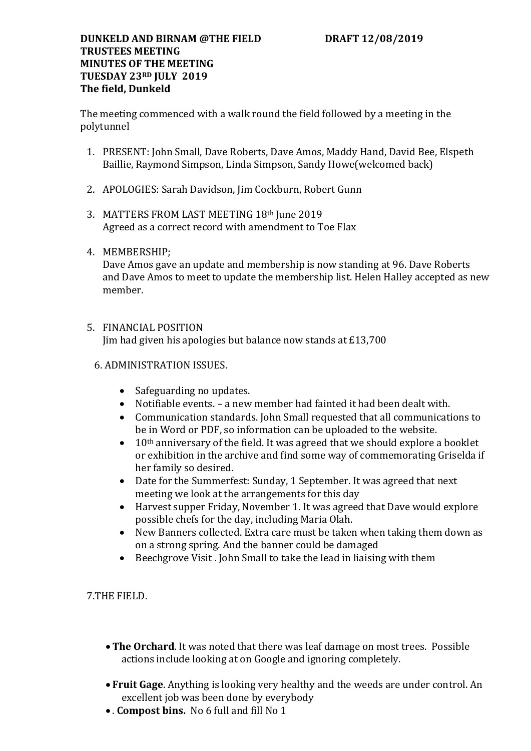#### **DUNKELD AND BIRNAM @THE FIELD DRAFT 12/08/2019 TRUSTEES MEETING MINUTES OF THE MEETING TUESDAY 23RD JULY 2019 The field, Dunkeld**

The meeting commenced with a walk round the field followed by a meeting in the polytunnel

- 1. PRESENT: John Small, Dave Roberts, Dave Amos, Maddy Hand, David Bee, Elspeth Baillie, Raymond Simpson, Linda Simpson, Sandy Howe(welcomed back)
- 2. APOLOGIES: Sarah Davidson, Jim Cockburn, Robert Gunn
- 3. MATTERS FROM LAST MEETING 18th June 2019 Agreed as a correct record with amendment to Toe Flax
- 4. MEMBERSHIP;

Dave Amos gave an update and membership is now standing at 96. Dave Roberts and Dave Amos to meet to update the membership list. Helen Halley accepted as new member.

# 5. FINANCIAL POSITION

Jim had given his apologies but balance now stands at £13,700

## 6. ADMINISTRATION ISSUES.

- Safeguarding no updates.
- Notifiable events. a new member had fainted it had been dealt with.
- Communication standards. John Small requested that all communications to be in Word or PDF, so information can be uploaded to the website.
- $\bullet$  10<sup>th</sup> anniversary of the field. It was agreed that we should explore a booklet or exhibition in the archive and find some way of commemorating Griselda if her family so desired.
- Date for the Summerfest: Sunday, 1 September. It was agreed that next meeting we look at the arrangements for this day
- Harvest supper Friday, November 1. It was agreed that Dave would explore possible chefs for the day, including Maria Olah.
- New Banners collected. Extra care must be taken when taking them down as on a strong spring. And the banner could be damaged
- Beechgrove Visit . John Small to take the lead in liaising with them

## 7.THE FIELD.

- **The Orchard**. It was noted that there was leaf damage on most trees. Possible actions include looking at on Google and ignoring completely.
- **Fruit Gage**. Anything is looking very healthy and the weeds are under control. An excellent job was been done by everybody
- . **Compost bins.** No 6 full and fill No 1